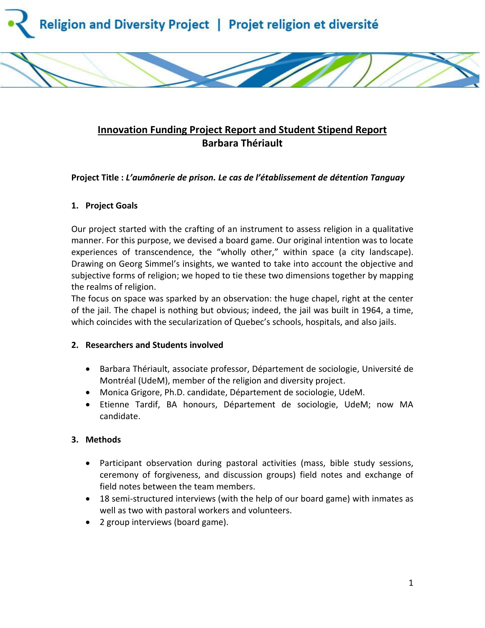

# **Innovation Funding Project Report and Student Stipend Report Barbara Thériault**

## **Project Title :** *L'aumônerie de prison. Le cas de l'établissement de détention Tanguay*

## **1. Project Goals**

Our project started with the crafting of an instrument to assess religion in a qualitative manner. For this purpose, we devised a board game. Our original intention was to locate experiences of transcendence, the "wholly other," within space (a city landscape). Drawing on Georg Simmel's insights, we wanted to take into account the objective and subjective forms of religion; we hoped to tie these two dimensions together by mapping the realms of religion.

The focus on space was sparked by an observation: the huge chapel, right at the center of the jail. The chapel is nothing but obvious; indeed, the jail was built in 1964, a time, which coincides with the secularization of Quebec's schools, hospitals, and also jails.

### **2. Researchers and Students involved**

- Barbara Thériault, associate professor, Département de sociologie, Université de Montréal (UdeM), member of the religion and diversity project.
- Monica Grigore, Ph.D. candidate, Département de sociologie, UdeM.
- Etienne Tardif, BA honours, Département de sociologie, UdeM; now MA candidate.

# **3. Methods**

- Participant observation during pastoral activities (mass, bible study sessions, ceremony of forgiveness, and discussion groups) field notes and exchange of field notes between the team members.
- 18 semi-structured interviews (with the help of our board game) with inmates as well as two with pastoral workers and volunteers.
- 2 group interviews (board game).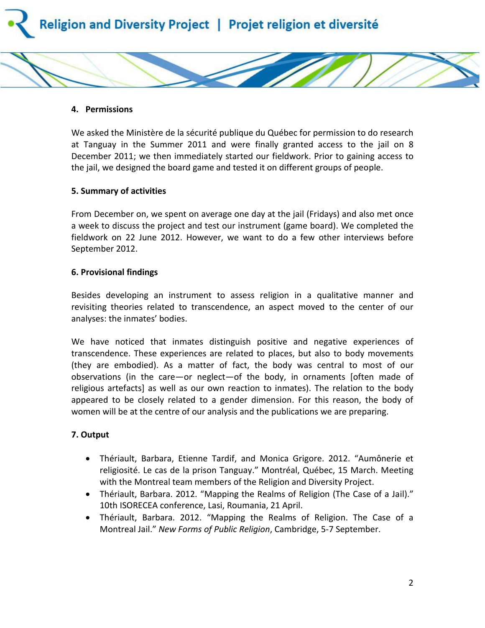



We asked the Ministère de la sécurité publique du Québec for permission to do research at Tanguay in the Summer 2011 and were finally granted access to the jail on 8 December 2011; we then immediately started our fieldwork. Prior to gaining access to the jail, we designed the board game and tested it on different groups of people.

#### **5. Summary of activities**

From December on, we spent on average one day at the jail (Fridays) and also met once a week to discuss the project and test our instrument (game board). We completed the fieldwork on 22 June 2012. However, we want to do a few other interviews before September 2012.

#### **6. Provisional findings**

Besides developing an instrument to assess religion in a qualitative manner and revisiting theories related to transcendence, an aspect moved to the center of our analyses: the inmates' bodies.

We have noticed that inmates distinguish positive and negative experiences of transcendence. These experiences are related to places, but also to body movements (they are embodied). As a matter of fact, the body was central to most of our observations (in the care—or neglect—of the body, in ornaments [often made of religious artefacts] as well as our own reaction to inmates). The relation to the body appeared to be closely related to a gender dimension. For this reason, the body of women will be at the centre of our analysis and the publications we are preparing.

#### **7. Output**

- Thériault, Barbara, Etienne Tardif, and Monica Grigore. 2012. "Aumônerie et religiosité. Le cas de la prison Tanguay." Montréal, Québec, 15 March. Meeting with the Montreal team members of the Religion and Diversity Project.
- Thériault, Barbara. 2012. "Mapping the Realms of Religion (The Case of a Jail)." 10th ISORECEA conference, Lasi, Roumania, 21 April.
- Thériault, Barbara. 2012. "Mapping the Realms of Religion. The Case of a Montreal Jail." *New Forms of Public Religion*, Cambridge, 5-7 September.